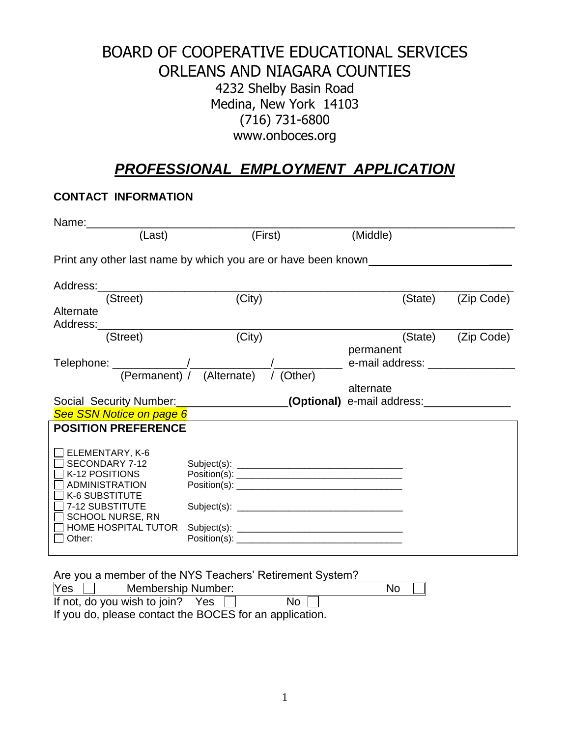## BOARD OF COOPERATIVE EDUCATIONAL SERVICES ORLEANS AND NIAGARA COUNTIES 4232 Shelby Basin Road Medina, New York 14103 (716) 731-6800 www.onboces.org

# *PROFESSIONAL EMPLOYMENT APPLICATION*

## **CONTACT INFORMATION**

| Name:                                                                                                                                                                         |                                                                                   |           |            |  |  |  |
|-------------------------------------------------------------------------------------------------------------------------------------------------------------------------------|-----------------------------------------------------------------------------------|-----------|------------|--|--|--|
| (Last)                                                                                                                                                                        | (First)                                                                           | (Middle)  |            |  |  |  |
| Print any other last name by which you are or have been known                                                                                                                 |                                                                                   |           |            |  |  |  |
|                                                                                                                                                                               |                                                                                   |           |            |  |  |  |
| (Street)                                                                                                                                                                      | (City)                                                                            | (State)   | (Zip Code) |  |  |  |
| Alternate                                                                                                                                                                     |                                                                                   |           |            |  |  |  |
| Address:________                                                                                                                                                              |                                                                                   |           |            |  |  |  |
| (Street)                                                                                                                                                                      | (City)                                                                            | (State)   | (Zip Code) |  |  |  |
|                                                                                                                                                                               |                                                                                   | permanent |            |  |  |  |
|                                                                                                                                                                               |                                                                                   |           |            |  |  |  |
|                                                                                                                                                                               |                                                                                   | alternate |            |  |  |  |
|                                                                                                                                                                               | Social Security Number: ____________________(Optional) e-mail address: __________ |           |            |  |  |  |
| See SSN Notice on page 6                                                                                                                                                      |                                                                                   |           |            |  |  |  |
| <b>POSITION PREFERENCE</b>                                                                                                                                                    |                                                                                   |           |            |  |  |  |
| ELEMENTARY, K-6<br>SECONDARY 7-12<br>K-12 POSITIONS<br>ADMINISTRATION<br>K-6 SUBSTITUTE<br>7-12 SUBSTITUTE<br><b>SCHOOL NURSE, RN</b><br><b>HOME HOSPITAL TUTOR</b><br>Other: | Position(s):                                                                      |           |            |  |  |  |

| Yes<br>Membership Number:                               | $\mathbb{I}$<br><b>No</b> |
|---------------------------------------------------------|---------------------------|
| If not, do you wish to join? Yes                        | No I                      |
| If you do, please contact the BOCES for an application. |                           |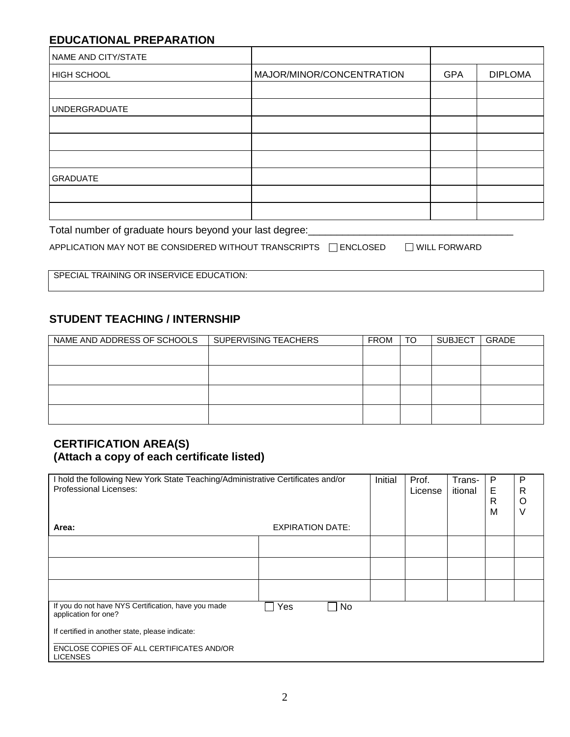### **EDUCATIONAL PREPARATION**

| NAME AND CITY/STATE  |                           |            |                |
|----------------------|---------------------------|------------|----------------|
| <b>HIGH SCHOOL</b>   | MAJOR/MINOR/CONCENTRATION | <b>GPA</b> | <b>DIPLOMA</b> |
|                      |                           |            |                |
| <b>UNDERGRADUATE</b> |                           |            |                |
|                      |                           |            |                |
|                      |                           |            |                |
|                      |                           |            |                |
| <b>GRADUATE</b>      |                           |            |                |
|                      |                           |            |                |
|                      |                           |            |                |

#### Total number of graduate hours beyond your last degree:\_\_\_\_\_\_\_\_\_\_\_\_\_\_\_\_\_\_\_\_\_\_\_\_\_\_\_\_\_\_\_\_\_\_\_\_

|                                                                  | $\Box$ WILL FORWARD |
|------------------------------------------------------------------|---------------------|
| APPLICATION MAY NOT BE CONSIDERED WITHOUT TRANSCRIPTS □ ENCLOSED |                     |

SPECIAL TRAINING OR INSERVICE EDUCATION:

### **STUDENT TEACHING / INTERNSHIP**

| NAME AND ADDRESS OF SCHOOLS | SUPERVISING TEACHERS | <b>FROM</b> | TO | <b>SUBJECT</b> | <b>GRADE</b> |
|-----------------------------|----------------------|-------------|----|----------------|--------------|
|                             |                      |             |    |                |              |
|                             |                      |             |    |                |              |
|                             |                      |             |    |                |              |
|                             |                      |             |    |                |              |
|                             |                      |             |    |                |              |
|                             |                      |             |    |                |              |

#### **CERTIFICATION AREA(S) (Attach a copy of each certificate listed)**

| I hold the following New York State Teaching/Administrative Certificates and/or<br>Professional Licenses: |                         | Initial | Prof.<br>License | Trans-<br>itional | P<br>Е<br>R<br>M | P<br>R<br>O |  |
|-----------------------------------------------------------------------------------------------------------|-------------------------|---------|------------------|-------------------|------------------|-------------|--|
| Area:                                                                                                     | <b>EXPIRATION DATE:</b> |         |                  |                   |                  |             |  |
|                                                                                                           |                         |         |                  |                   |                  |             |  |
|                                                                                                           |                         |         |                  |                   |                  |             |  |
|                                                                                                           |                         |         |                  |                   |                  |             |  |
| If you do not have NYS Certification, have you made<br>application for one?                               | Yes                     | No      |                  |                   |                  |             |  |
| If certified in another state, please indicate:                                                           |                         |         |                  |                   |                  |             |  |
| ENCLOSE COPIES OF ALL CERTIFICATES AND/OR<br><b>LICENSES</b>                                              |                         |         |                  |                   |                  |             |  |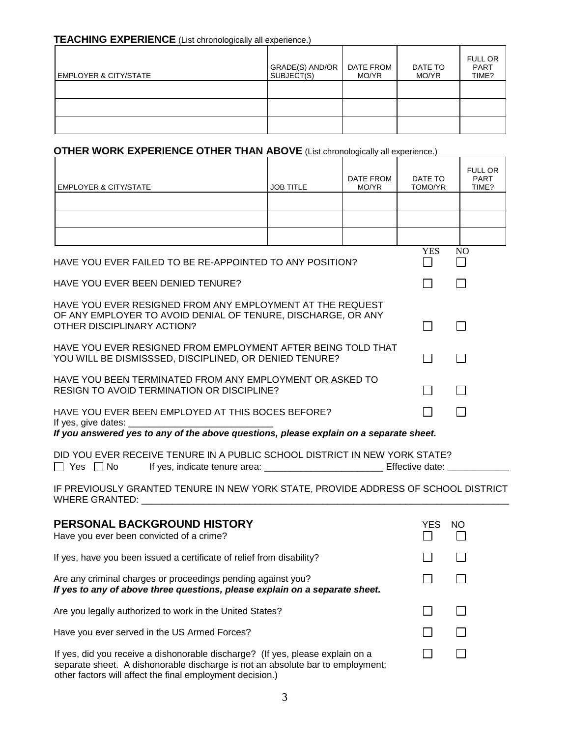#### **TEACHING EXPERIENCE** (List chronologically all experience.)

| <b>EMPLOYER &amp; CITY/STATE</b> | GRADE(S) AND/OR<br>SUBJECT(S) | DATE FROM<br>MO/YR | DATE TO<br>MO/YR | <b>FULL OR</b><br><b>PART</b><br>TIME? |
|----------------------------------|-------------------------------|--------------------|------------------|----------------------------------------|
|                                  |                               |                    |                  |                                        |
|                                  |                               |                    |                  |                                        |
|                                  |                               |                    |                  |                                        |

### **OTHER WORK EXPERIENCE OTHER THAN ABOVE** (List chronologically all experience.)

| <b>EMPLOYER &amp; CITY/STATE</b>                                                                                                                        | <b>JOB TITLE</b> | DATE FROM<br>MO/YR | DATE TO<br>TOMO/YR         | <b>FULL OR</b><br><b>PART</b><br>TIME? |  |
|---------------------------------------------------------------------------------------------------------------------------------------------------------|------------------|--------------------|----------------------------|----------------------------------------|--|
|                                                                                                                                                         |                  |                    |                            |                                        |  |
|                                                                                                                                                         |                  |                    |                            |                                        |  |
|                                                                                                                                                         |                  |                    |                            |                                        |  |
| HAVE YOU EVER FAILED TO BE RE-APPOINTED TO ANY POSITION?                                                                                                |                  |                    | <b>YES</b><br>$\mathsf{L}$ | N <sub>O</sub>                         |  |
| HAVE YOU EVER BEEN DENIED TENURE?                                                                                                                       |                  |                    |                            |                                        |  |
| HAVE YOU EVER RESIGNED FROM ANY EMPLOYMENT AT THE REQUEST<br>OF ANY EMPLOYER TO AVOID DENIAL OF TENURE, DISCHARGE, OR ANY<br>OTHER DISCIPLINARY ACTION? |                  |                    |                            |                                        |  |
| HAVE YOU EVER RESIGNED FROM EMPLOYMENT AFTER BEING TOLD THAT<br>YOU WILL BE DISMISSSED, DISCIPLINED, OR DENIED TENURE?<br>$\sim$                        |                  |                    |                            |                                        |  |
| HAVE YOU BEEN TERMINATED FROM ANY EMPLOYMENT OR ASKED TO<br>RESIGN TO AVOID TERMINATION OR DISCIPLINE?<br>ΙI                                            |                  |                    |                            |                                        |  |
| HAVE YOU EVER BEEN EMPLOYED AT THIS BOCES BEFORE?<br>If yes, give dates: _                                                                              |                  |                    |                            |                                        |  |
| If you answered yes to any of the above questions, please explain on a separate sheet.                                                                  |                  |                    |                            |                                        |  |
| DID YOU EVER RECEIVE TENURE IN A PUBLIC SCHOOL DISTRICT IN NEW YORK STATE?<br>l I Yes I INo<br>If yes, indicate tenure area:<br>Effective date:         |                  |                    |                            |                                        |  |

IF PREVIOUSLY GRANTED TENURE IN NEW YORK STATE, PROVIDE ADDRESS OF SCHOOL DISTRICT WHERE GRANTED: \_\_\_\_\_\_\_\_\_\_\_\_\_\_\_\_\_\_\_\_\_\_\_\_\_\_\_\_\_\_\_\_\_\_\_\_\_\_\_\_\_\_\_\_\_\_\_\_\_\_\_\_\_\_\_\_\_\_\_\_\_\_\_\_\_\_\_\_\_\_\_

| <b>PERSONAL BACKGROUND HISTORY</b><br>Have you ever been convicted of a crime?                                                                                                                                                | YES | NO. |
|-------------------------------------------------------------------------------------------------------------------------------------------------------------------------------------------------------------------------------|-----|-----|
| If yes, have you been issued a certificate of relief from disability?                                                                                                                                                         |     |     |
| Are any criminal charges or proceedings pending against you?<br>If yes to any of above three questions, please explain on a separate sheet.                                                                                   |     |     |
| Are you legally authorized to work in the United States?                                                                                                                                                                      |     |     |
| Have you ever served in the US Armed Forces?                                                                                                                                                                                  |     |     |
| If yes, did you receive a dishonorable discharge? (If yes, please explain on a<br>separate sheet. A dishonorable discharge is not an absolute bar to employment;<br>other factors will affect the final employment decision.) |     |     |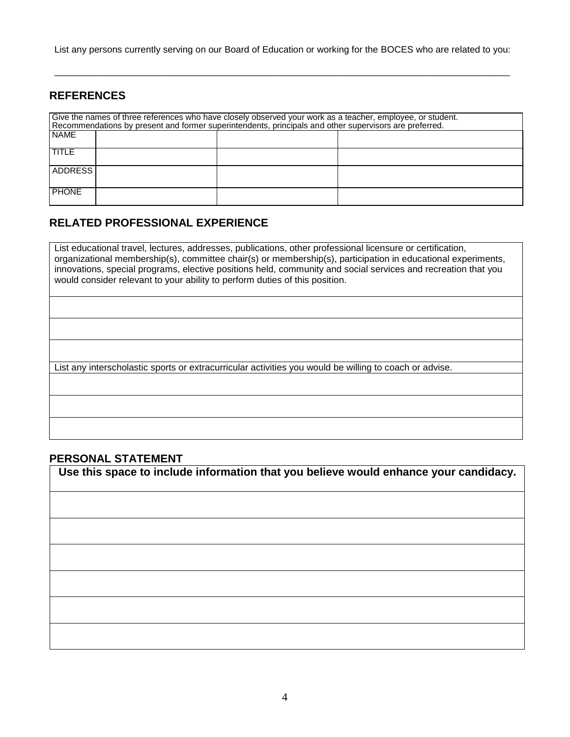List any persons currently serving on our Board of Education or working for the BOCES who are related to you:

\_\_\_\_\_\_\_\_\_\_\_\_\_\_\_\_\_\_\_\_\_\_\_\_\_\_\_\_\_\_\_\_\_\_\_\_\_\_\_\_\_\_\_\_\_\_\_\_\_\_\_\_\_\_\_\_\_\_\_\_\_\_\_\_\_\_\_\_\_\_\_\_\_\_\_\_\_\_\_\_\_\_\_\_\_\_\_\_

### **REFERENCES**

| Give the names of three references who have closely observed your work as a teacher, employee, or student.<br>Recommendations by present and former superintendents, principals and other supervisors are preferred. |  |  |  |  |  |
|----------------------------------------------------------------------------------------------------------------------------------------------------------------------------------------------------------------------|--|--|--|--|--|
| <b>NAME</b>                                                                                                                                                                                                          |  |  |  |  |  |
| TITLE                                                                                                                                                                                                                |  |  |  |  |  |
| ADDRESS I                                                                                                                                                                                                            |  |  |  |  |  |
| <b>PHONE</b>                                                                                                                                                                                                         |  |  |  |  |  |

#### **RELATED PROFESSIONAL EXPERIENCE**

List educational travel, lectures, addresses, publications, other professional licensure or certification, organizational membership(s), committee chair(s) or membership(s), participation in educational experiments, innovations, special programs, elective positions held, community and social services and recreation that you would consider relevant to your ability to perform duties of this position.

List any interscholastic sports or extracurricular activities you would be willing to coach or advise.

#### **PERSONAL STATEMENT**

**Use this space to include information that you believe would enhance your candidacy.**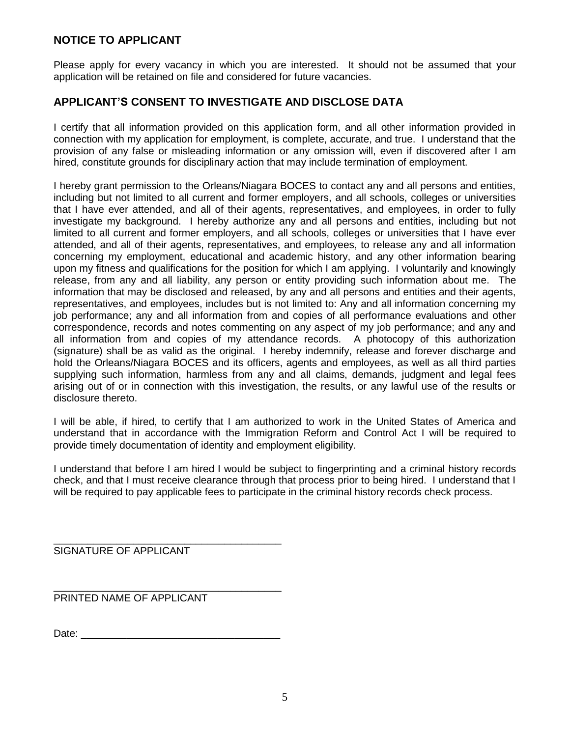### **NOTICE TO APPLICANT**

Please apply for every vacancy in which you are interested. It should not be assumed that your application will be retained on file and considered for future vacancies.

### **APPLICANT'S CONSENT TO INVESTIGATE AND DISCLOSE DATA**

I certify that all information provided on this application form, and all other information provided in connection with my application for employment, is complete, accurate, and true. I understand that the provision of any false or misleading information or any omission will, even if discovered after I am hired, constitute grounds for disciplinary action that may include termination of employment.

I hereby grant permission to the Orleans/Niagara BOCES to contact any and all persons and entities, including but not limited to all current and former employers, and all schools, colleges or universities that I have ever attended, and all of their agents, representatives, and employees, in order to fully investigate my background. I hereby authorize any and all persons and entities, including but not limited to all current and former employers, and all schools, colleges or universities that I have ever attended, and all of their agents, representatives, and employees, to release any and all information concerning my employment, educational and academic history, and any other information bearing upon my fitness and qualifications for the position for which I am applying. I voluntarily and knowingly release, from any and all liability, any person or entity providing such information about me. The information that may be disclosed and released, by any and all persons and entities and their agents, representatives, and employees, includes but is not limited to: Any and all information concerning my job performance; any and all information from and copies of all performance evaluations and other correspondence, records and notes commenting on any aspect of my job performance; and any and all information from and copies of my attendance records. A photocopy of this authorization (signature) shall be as valid as the original. I hereby indemnify, release and forever discharge and hold the Orleans/Niagara BOCES and its officers, agents and employees, as well as all third parties supplying such information, harmless from any and all claims, demands, judgment and legal fees arising out of or in connection with this investigation, the results, or any lawful use of the results or disclosure thereto.

I will be able, if hired, to certify that I am authorized to work in the United States of America and understand that in accordance with the Immigration Reform and Control Act I will be required to provide timely documentation of identity and employment eligibility.

I understand that before I am hired I would be subject to fingerprinting and a criminal history records check, and that I must receive clearance through that process prior to being hired. I understand that I will be required to pay applicable fees to participate in the criminal history records check process.

\_\_\_\_\_\_\_\_\_\_\_\_\_\_\_\_\_\_\_\_\_\_\_\_\_\_\_\_\_\_\_\_\_\_\_\_\_\_\_\_ SIGNATURE OF APPLICANT

PRINTED NAME OF APPLICANT

Date: \_\_\_\_\_\_\_\_\_\_\_\_\_\_\_\_\_\_\_\_\_\_\_\_\_\_\_\_\_\_\_\_\_\_\_

\_\_\_\_\_\_\_\_\_\_\_\_\_\_\_\_\_\_\_\_\_\_\_\_\_\_\_\_\_\_\_\_\_\_\_\_\_\_\_\_